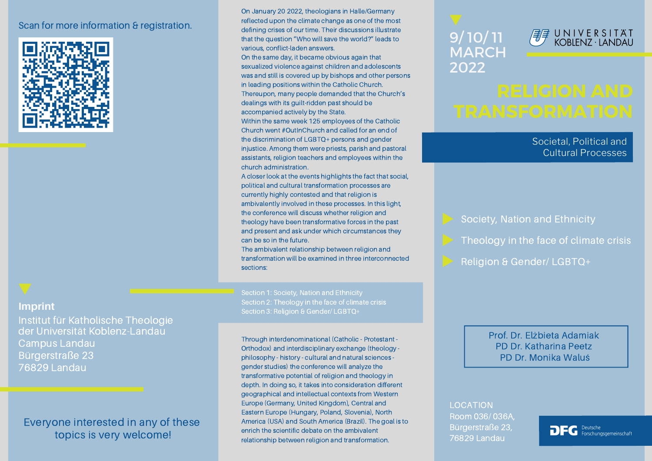### Scan for more information & registration.



### **Imprint**

Institut für Katholische Theologie der Universität Koblenz-Landau Campus Landau Bürgerstraße 23 76829 Landau

## Everyone interested in any of these topics is very welcome!

On January 20 2022, theologians in Halle/Germany reflected upon the climate change as one of the most defining crises of our time. Their discussions illustrate that the question "Who will save the world?" leads to various, conflict-laden answers.

On the same day, it became obvious again that sexualized violence against children and adolescents was and still is covered up by bishops and other persons in leading positions within the Catholic Church. Thereupon, many people demanded that the Church's dealings with its guilt-ridden past should be accompanied actively by the State.

Within the same week 125 employees of the Catholic Church went #OutInChurch and called for an end of the discrimination of LGBTQ+ persons and gender injustice. Among them were priests, parish and pastoral assistants, religion teachers and employees within the church administration.

A closer look at the events highlights the fact that social, political and cultural transformation processes are currently highly contested and that religion is ambivalently involved in these processes. In this light, the conference will discuss whether religion and theology have been transformative forces in the past and present and ask under which circumstances they can be so in the future.

The ambivalent relationship between religion and transformation will be examined in three interconnected sections:

Section 1: Society, Nation and Ethnicity Section 2: Theology in the face of climate crisis Section 3: Religion & Gender/ LGBTQ+

Through interdenominational (Catholic - Protestant -Orthodox) and interdisciplinary exchange (theology philosophy - history - cultural and natural sciences gender studies) the conference will analyze the transformative potential of religion and theology in depth. In doing so, it takes into consideration different geographical and intellectual contexts from Western Europe (Germany, United Kingdom), Central and Eastern Europe (Hungary, Poland, Slovenia), North America (USA) and South America (Brazil). The goal is to enrich the scientific debate on the ambivalent relationship between religion and transformation.

# 9/ 10/ 11 MARCH 2022



Societal, Political and Cultural Processes

Society, Nation and Ethnicity

Theology in the face of climate crisis

Religion & Gender/ LGBTQ+

Prof. Dr. Elżbieta Adamiak PD Dr. Katharina Peetz PD Dr. Monika Waluś

LOCATION

Room 036/ 036A, Bürgerstraße 23, 76829 Landau